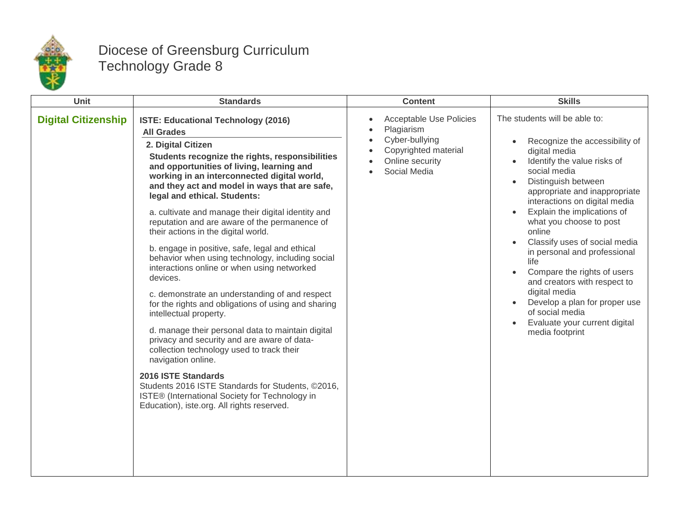

## Diocese of Greensburg Curriculum Technology Grade 8

| Unit                       | <b>Standards</b>                                                                                                                                                                                                                                                                                                                                                                                                                                                                               | <b>Content</b>                                                                                                                                      | <b>Skills</b>                                                                                                                                                                                                                                                                                                                                                                                                                                                                                                                                                                                                     |
|----------------------------|------------------------------------------------------------------------------------------------------------------------------------------------------------------------------------------------------------------------------------------------------------------------------------------------------------------------------------------------------------------------------------------------------------------------------------------------------------------------------------------------|-----------------------------------------------------------------------------------------------------------------------------------------------------|-------------------------------------------------------------------------------------------------------------------------------------------------------------------------------------------------------------------------------------------------------------------------------------------------------------------------------------------------------------------------------------------------------------------------------------------------------------------------------------------------------------------------------------------------------------------------------------------------------------------|
| <b>Digital Citizenship</b> | ISTE: Educational Technology (2016)<br><b>All Grades</b><br>2. Digital Citizen<br>Students recognize the rights, responsibilities<br>and opportunities of living, learning and<br>working in an interconnected digital world,<br>and they act and model in ways that are safe,<br>legal and ethical. Students:                                                                                                                                                                                 | <b>Acceptable Use Policies</b><br>$\bullet$<br>Plagiarism<br>$\bullet$<br>Cyber-bullying<br>Copyrighted material<br>Online security<br>Social Media | The students will be able to:<br>Recognize the accessibility of<br>$\bullet$<br>digital media<br>Identify the value risks of<br>social media<br>Distinguish between<br>$\bullet$<br>appropriate and inappropriate<br>interactions on digital media<br>Explain the implications of<br>$\bullet$<br>what you choose to post<br>online<br>Classify uses of social media<br>$\bullet$<br>in personal and professional<br>life<br>Compare the rights of users<br>and creators with respect to<br>digital media<br>Develop a plan for proper use<br>of social media<br>Evaluate your current digital<br>media footprint |
|                            | a. cultivate and manage their digital identity and<br>reputation and are aware of the permanence of<br>their actions in the digital world.                                                                                                                                                                                                                                                                                                                                                     |                                                                                                                                                     |                                                                                                                                                                                                                                                                                                                                                                                                                                                                                                                                                                                                                   |
|                            | b. engage in positive, safe, legal and ethical<br>behavior when using technology, including social<br>interactions online or when using networked<br>devices.<br>c. demonstrate an understanding of and respect<br>for the rights and obligations of using and sharing<br>intellectual property.<br>d. manage their personal data to maintain digital<br>privacy and security and are aware of data-<br>collection technology used to track their<br>navigation online.<br>2016 ISTE Standards |                                                                                                                                                     |                                                                                                                                                                                                                                                                                                                                                                                                                                                                                                                                                                                                                   |
|                            | Students 2016 ISTE Standards for Students, ©2016,<br>ISTE® (International Society for Technology in<br>Education), iste.org. All rights reserved.                                                                                                                                                                                                                                                                                                                                              |                                                                                                                                                     |                                                                                                                                                                                                                                                                                                                                                                                                                                                                                                                                                                                                                   |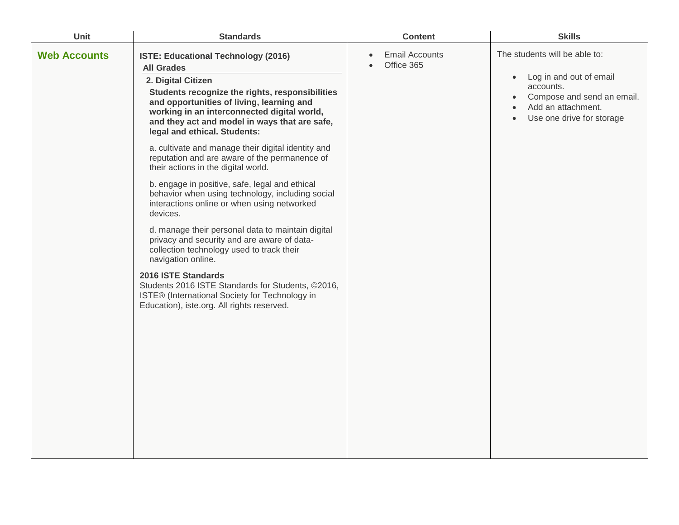| <b>Unit</b>         | <b>Standards</b>                                                                                                                                                                                                                                                                                                                                                                                                                                                                                                                                                                                                                                                                                                                                                                                                                                                                                                                                                                 | <b>Content</b>                                   | <b>Skills</b>                                                                                                                                                                                              |
|---------------------|----------------------------------------------------------------------------------------------------------------------------------------------------------------------------------------------------------------------------------------------------------------------------------------------------------------------------------------------------------------------------------------------------------------------------------------------------------------------------------------------------------------------------------------------------------------------------------------------------------------------------------------------------------------------------------------------------------------------------------------------------------------------------------------------------------------------------------------------------------------------------------------------------------------------------------------------------------------------------------|--------------------------------------------------|------------------------------------------------------------------------------------------------------------------------------------------------------------------------------------------------------------|
| <b>Web Accounts</b> | ISTE: Educational Technology (2016)<br><b>All Grades</b><br>2. Digital Citizen<br>Students recognize the rights, responsibilities<br>and opportunities of living, learning and<br>working in an interconnected digital world,<br>and they act and model in ways that are safe,<br>legal and ethical. Students:<br>a. cultivate and manage their digital identity and<br>reputation and are aware of the permanence of<br>their actions in the digital world.<br>b. engage in positive, safe, legal and ethical<br>behavior when using technology, including social<br>interactions online or when using networked<br>devices.<br>d. manage their personal data to maintain digital<br>privacy and security and are aware of data-<br>collection technology used to track their<br>navigation online.<br>2016 ISTE Standards<br>Students 2016 ISTE Standards for Students, ©2016,<br>ISTE® (International Society for Technology in<br>Education), iste.org. All rights reserved. | <b>Email Accounts</b><br>$\bullet$<br>Office 365 | The students will be able to:<br>Log in and out of email<br>$\bullet$<br>accounts.<br>Compose and send an email.<br>$\bullet$<br>Add an attachment.<br>$\bullet$<br>Use one drive for storage<br>$\bullet$ |
|                     |                                                                                                                                                                                                                                                                                                                                                                                                                                                                                                                                                                                                                                                                                                                                                                                                                                                                                                                                                                                  |                                                  |                                                                                                                                                                                                            |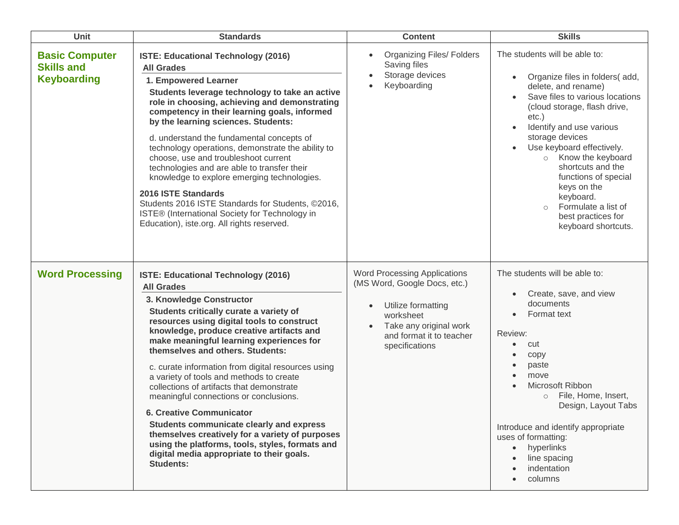| <b>Unit</b>                                                      | <b>Standards</b>                                                                                                                                                                                                                                                                                                                                                                                                                                                                                                                                                                                                                                                                                                                                   | <b>Content</b>                                                                                                                                                                              | <b>Skills</b>                                                                                                                                                                                                                                                                                                                                                                                                                                                           |
|------------------------------------------------------------------|----------------------------------------------------------------------------------------------------------------------------------------------------------------------------------------------------------------------------------------------------------------------------------------------------------------------------------------------------------------------------------------------------------------------------------------------------------------------------------------------------------------------------------------------------------------------------------------------------------------------------------------------------------------------------------------------------------------------------------------------------|---------------------------------------------------------------------------------------------------------------------------------------------------------------------------------------------|-------------------------------------------------------------------------------------------------------------------------------------------------------------------------------------------------------------------------------------------------------------------------------------------------------------------------------------------------------------------------------------------------------------------------------------------------------------------------|
| <b>Basic Computer</b><br><b>Skills and</b><br><b>Keyboarding</b> | ISTE: Educational Technology (2016)<br><b>All Grades</b><br>1. Empowered Learner<br>Students leverage technology to take an active<br>role in choosing, achieving and demonstrating<br>competency in their learning goals, informed<br>by the learning sciences. Students:<br>d. understand the fundamental concepts of<br>technology operations, demonstrate the ability to<br>choose, use and troubleshoot current<br>technologies and are able to transfer their<br>knowledge to explore emerging technologies.<br>2016 ISTE Standards<br>Students 2016 ISTE Standards for Students, ©2016,<br>ISTE® (International Society for Technology in<br>Education), iste.org. All rights reserved.                                                     | <b>Organizing Files/ Folders</b><br>Saving files<br>Storage devices<br>Keyboarding                                                                                                          | The students will be able to:<br>Organize files in folders(add,<br>$\bullet$<br>delete, and rename)<br>Save files to various locations<br>(cloud storage, flash drive,<br>$etc.$ )<br>Identify and use various<br>$\bullet$<br>storage devices<br>Use keyboard effectively.<br>$\bullet$<br>o Know the keyboard<br>shortcuts and the<br>functions of special<br>keys on the<br>keyboard.<br>Formulate a list of<br>$\circ$<br>best practices for<br>keyboard shortcuts. |
| <b>Word Processing</b>                                           | ISTE: Educational Technology (2016)<br><b>All Grades</b><br>3. Knowledge Constructor<br>Students critically curate a variety of<br>resources using digital tools to construct<br>knowledge, produce creative artifacts and<br>make meaningful learning experiences for<br>themselves and others. Students:<br>c. curate information from digital resources using<br>a variety of tools and methods to create<br>collections of artifacts that demonstrate<br>meaningful connections or conclusions.<br>6. Creative Communicator<br>Students communicate clearly and express<br>themselves creatively for a variety of purposes<br>using the platforms, tools, styles, formats and<br>digital media appropriate to their goals.<br><b>Students:</b> | <b>Word Processing Applications</b><br>(MS Word, Google Docs, etc.)<br>Utilize formatting<br>$\bullet$<br>worksheet<br>Take any original work<br>and format it to teacher<br>specifications | The students will be able to:<br>Create, save, and view<br>$\bullet$<br>documents<br>Format text<br>$\bullet$<br>Review:<br>cut<br>$\bullet$<br>copy<br>$\bullet$<br>paste<br>$\bullet$<br>move<br>$\bullet$<br>Microsoft Ribbon<br>$\bullet$<br>File, Home, Insert,<br>$\circ$<br>Design, Layout Tabs<br>Introduce and identify appropriate<br>uses of formatting:<br>hyperlinks<br>$\bullet$<br>line spacing<br>indentation<br>columns                                |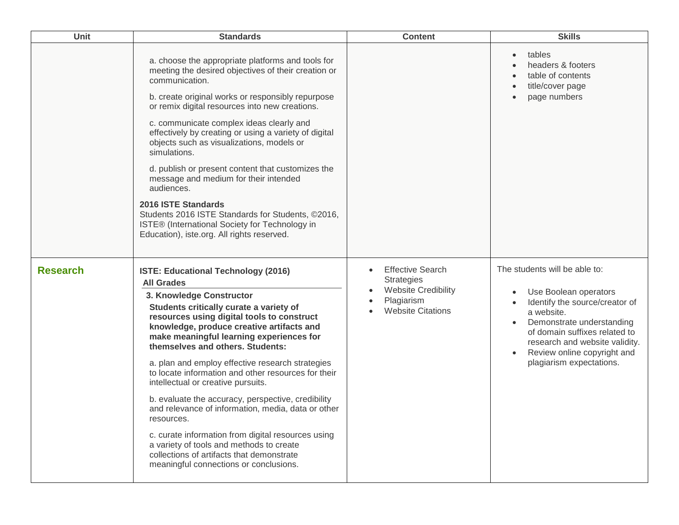| Unit            | <b>Standards</b>                                                                                                                                                                                                                                                                                                                                                                                                                                                                                                                                                                                                                                                                                                                                                               | <b>Content</b>                                                                                                       | <b>Skills</b>                                                                                                                                                                                                                                                          |
|-----------------|--------------------------------------------------------------------------------------------------------------------------------------------------------------------------------------------------------------------------------------------------------------------------------------------------------------------------------------------------------------------------------------------------------------------------------------------------------------------------------------------------------------------------------------------------------------------------------------------------------------------------------------------------------------------------------------------------------------------------------------------------------------------------------|----------------------------------------------------------------------------------------------------------------------|------------------------------------------------------------------------------------------------------------------------------------------------------------------------------------------------------------------------------------------------------------------------|
|                 | a. choose the appropriate platforms and tools for<br>meeting the desired objectives of their creation or<br>communication.<br>b. create original works or responsibly repurpose<br>or remix digital resources into new creations.<br>c. communicate complex ideas clearly and<br>effectively by creating or using a variety of digital<br>objects such as visualizations, models or<br>simulations.<br>d. publish or present content that customizes the<br>message and medium for their intended<br>audiences.<br>2016 ISTE Standards<br>Students 2016 ISTE Standards for Students, ©2016,<br>ISTE® (International Society for Technology in<br>Education), iste.org. All rights reserved.                                                                                    |                                                                                                                      | tables<br>headers & footers<br>table of contents<br>title/cover page<br>page numbers                                                                                                                                                                                   |
| <b>Research</b> | ISTE: Educational Technology (2016)<br><b>All Grades</b><br>3. Knowledge Constructor<br>Students critically curate a variety of<br>resources using digital tools to construct<br>knowledge, produce creative artifacts and<br>make meaningful learning experiences for<br>themselves and others. Students:<br>a. plan and employ effective research strategies<br>to locate information and other resources for their<br>intellectual or creative pursuits.<br>b. evaluate the accuracy, perspective, credibility<br>and relevance of information, media, data or other<br>resources.<br>c. curate information from digital resources using<br>a variety of tools and methods to create<br>collections of artifacts that demonstrate<br>meaningful connections or conclusions. | <b>Effective Search</b><br><b>Strategies</b><br><b>Website Credibility</b><br>Plagiarism<br><b>Website Citations</b> | The students will be able to:<br>Use Boolean operators<br>٠<br>Identify the source/creator of<br>a website.<br>Demonstrate understanding<br>of domain suffixes related to<br>research and website validity.<br>Review online copyright and<br>plagiarism expectations. |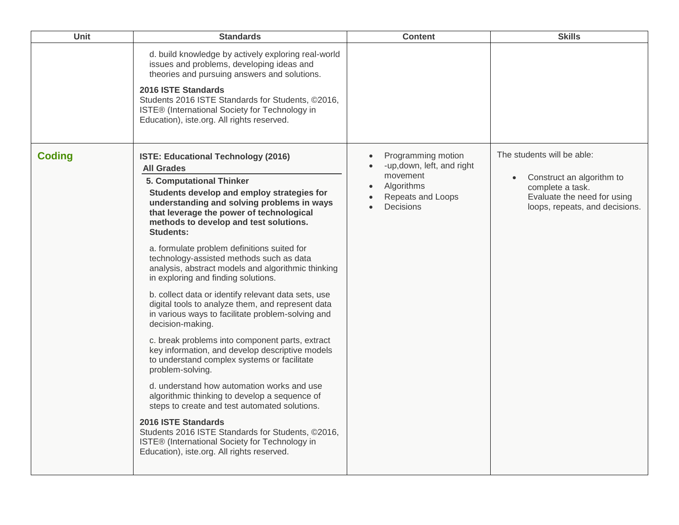| Unit          | <b>Standards</b>                                                                                                                                                                                                                                                                                                                                                                                                                                                                                                                                                                                                                                                                                                                                                                                                                                                                                                                                                                                                                                                                                                                                                                    | <b>Content</b>                                                                                               | <b>Skills</b>                                                                                                                                             |
|---------------|-------------------------------------------------------------------------------------------------------------------------------------------------------------------------------------------------------------------------------------------------------------------------------------------------------------------------------------------------------------------------------------------------------------------------------------------------------------------------------------------------------------------------------------------------------------------------------------------------------------------------------------------------------------------------------------------------------------------------------------------------------------------------------------------------------------------------------------------------------------------------------------------------------------------------------------------------------------------------------------------------------------------------------------------------------------------------------------------------------------------------------------------------------------------------------------|--------------------------------------------------------------------------------------------------------------|-----------------------------------------------------------------------------------------------------------------------------------------------------------|
|               | d. build knowledge by actively exploring real-world<br>issues and problems, developing ideas and<br>theories and pursuing answers and solutions.<br><b>2016 ISTE Standards</b><br>Students 2016 ISTE Standards for Students, ©2016,<br>ISTE® (International Society for Technology in<br>Education), iste.org. All rights reserved.                                                                                                                                                                                                                                                                                                                                                                                                                                                                                                                                                                                                                                                                                                                                                                                                                                                 |                                                                                                              |                                                                                                                                                           |
| <b>Coding</b> | <b>ISTE: Educational Technology (2016)</b><br><b>All Grades</b><br>5. Computational Thinker<br>Students develop and employ strategies for<br>understanding and solving problems in ways<br>that leverage the power of technological<br>methods to develop and test solutions.<br><b>Students:</b><br>a. formulate problem definitions suited for<br>technology-assisted methods such as data<br>analysis, abstract models and algorithmic thinking<br>in exploring and finding solutions.<br>b. collect data or identify relevant data sets, use<br>digital tools to analyze them, and represent data<br>in various ways to facilitate problem-solving and<br>decision-making.<br>c. break problems into component parts, extract<br>key information, and develop descriptive models<br>to understand complex systems or facilitate<br>problem-solving.<br>d. understand how automation works and use<br>algorithmic thinking to develop a sequence of<br>steps to create and test automated solutions.<br>2016 ISTE Standards<br>Students 2016 ISTE Standards for Students, ©2016,<br>ISTE® (International Society for Technology in<br>Education), iste.org. All rights reserved. | Programming motion<br>-up, down, left, and right<br>movement<br>Algorithms<br>Repeats and Loops<br>Decisions | The students will be able:<br>Construct an algorithm to<br>$\bullet$<br>complete a task.<br>Evaluate the need for using<br>loops, repeats, and decisions. |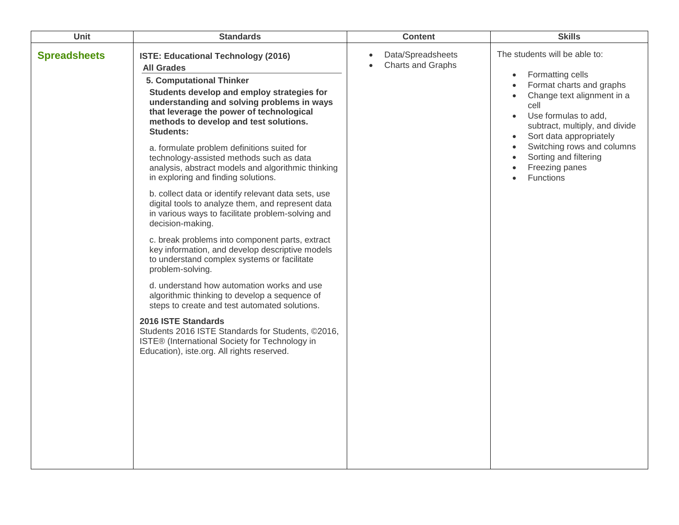| Unit                | <b>Standards</b>                                                                                                                                                                                                                                                                           | <b>Content</b>                                      | <b>Skills</b>                                                                                                                                                                                                                                                             |
|---------------------|--------------------------------------------------------------------------------------------------------------------------------------------------------------------------------------------------------------------------------------------------------------------------------------------|-----------------------------------------------------|---------------------------------------------------------------------------------------------------------------------------------------------------------------------------------------------------------------------------------------------------------------------------|
| <b>Spreadsheets</b> | ISTE: Educational Technology (2016)<br><b>All Grades</b><br>5. Computational Thinker<br>Students develop and employ strategies for<br>understanding and solving problems in ways<br>that leverage the power of technological<br>methods to develop and test solutions.<br><b>Students:</b> | Data/Spreadsheets<br>Charts and Graphs<br>$\bullet$ | The students will be able to:<br>Formatting cells<br>$\bullet$<br>Format charts and graphs<br>$\bullet$<br>Change text alignment in a<br>$\bullet$<br>cell<br>Use formulas to add,<br>$\bullet$<br>subtract, multiply, and divide<br>Sort data appropriately<br>$\bullet$ |
|                     | a. formulate problem definitions suited for<br>technology-assisted methods such as data<br>analysis, abstract models and algorithmic thinking<br>in exploring and finding solutions.                                                                                                       |                                                     | Switching rows and columns<br>$\bullet$<br>Sorting and filtering<br>Freezing panes<br><b>Functions</b>                                                                                                                                                                    |
|                     | b. collect data or identify relevant data sets, use<br>digital tools to analyze them, and represent data<br>in various ways to facilitate problem-solving and<br>decision-making.                                                                                                          |                                                     |                                                                                                                                                                                                                                                                           |
|                     | c. break problems into component parts, extract<br>key information, and develop descriptive models<br>to understand complex systems or facilitate<br>problem-solving.                                                                                                                      |                                                     |                                                                                                                                                                                                                                                                           |
|                     | d. understand how automation works and use<br>algorithmic thinking to develop a sequence of<br>steps to create and test automated solutions.                                                                                                                                               |                                                     |                                                                                                                                                                                                                                                                           |
|                     | 2016 ISTE Standards<br>Students 2016 ISTE Standards for Students, ©2016,<br>ISTE® (International Society for Technology in<br>Education), iste.org. All rights reserved.                                                                                                                   |                                                     |                                                                                                                                                                                                                                                                           |
|                     |                                                                                                                                                                                                                                                                                            |                                                     |                                                                                                                                                                                                                                                                           |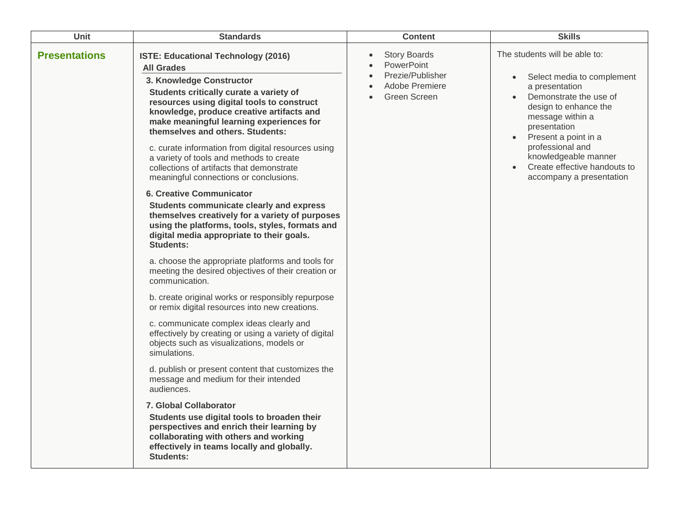| <b>Unit</b>          | <b>Standards</b>                                                                                                                                                                                                                                                                                                                                                 | <b>Content</b>                                                                          | <b>Skills</b>                                                                                                                                                                                                                                           |
|----------------------|------------------------------------------------------------------------------------------------------------------------------------------------------------------------------------------------------------------------------------------------------------------------------------------------------------------------------------------------------------------|-----------------------------------------------------------------------------------------|---------------------------------------------------------------------------------------------------------------------------------------------------------------------------------------------------------------------------------------------------------|
| <b>Presentations</b> | ISTE: Educational Technology (2016)<br><b>All Grades</b><br>3. Knowledge Constructor<br>Students critically curate a variety of<br>resources using digital tools to construct<br>knowledge, produce creative artifacts and<br>make meaningful learning experiences for<br>themselves and others. Students:<br>c. curate information from digital resources using | <b>Story Boards</b><br>PowerPoint<br>Prezie/Publisher<br>Adobe Premiere<br>Green Screen | The students will be able to:<br>Select media to complement<br>$\bullet$<br>a presentation<br>Demonstrate the use of<br>$\bullet$<br>design to enhance the<br>message within a<br>presentation<br>Present a point in a<br>$\bullet$<br>professional and |
|                      | a variety of tools and methods to create<br>collections of artifacts that demonstrate<br>meaningful connections or conclusions.                                                                                                                                                                                                                                  |                                                                                         | knowledgeable manner<br>Create effective handouts to<br>accompany a presentation                                                                                                                                                                        |
|                      | <b>6. Creative Communicator</b><br>Students communicate clearly and express<br>themselves creatively for a variety of purposes<br>using the platforms, tools, styles, formats and<br>digital media appropriate to their goals.<br><b>Students:</b>                                                                                                               |                                                                                         |                                                                                                                                                                                                                                                         |
|                      | a. choose the appropriate platforms and tools for<br>meeting the desired objectives of their creation or<br>communication.                                                                                                                                                                                                                                       |                                                                                         |                                                                                                                                                                                                                                                         |
|                      | b. create original works or responsibly repurpose<br>or remix digital resources into new creations.                                                                                                                                                                                                                                                              |                                                                                         |                                                                                                                                                                                                                                                         |
|                      | c. communicate complex ideas clearly and<br>effectively by creating or using a variety of digital<br>objects such as visualizations, models or<br>simulations.                                                                                                                                                                                                   |                                                                                         |                                                                                                                                                                                                                                                         |
|                      | d. publish or present content that customizes the<br>message and medium for their intended<br>audiences.                                                                                                                                                                                                                                                         |                                                                                         |                                                                                                                                                                                                                                                         |
|                      | <b>7. Global Collaborator</b><br>Students use digital tools to broaden their<br>perspectives and enrich their learning by<br>collaborating with others and working<br>effectively in teams locally and globally.<br><b>Students:</b>                                                                                                                             |                                                                                         |                                                                                                                                                                                                                                                         |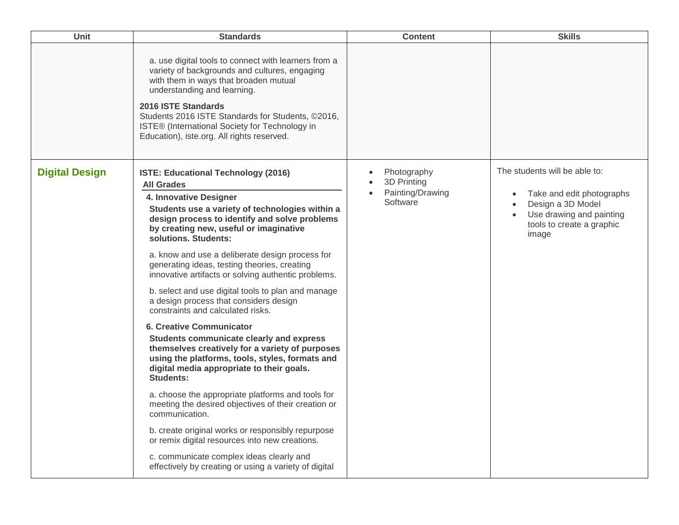| Unit                  | <b>Standards</b>                                                                                                                                                                                                                                                                                                                                                                                                                                                                                                                                                                                                                                                                                                                                                                                                                                                                                                                                                                                                                                                                                                                                               | <b>Content</b>                                             | <b>Skills</b>                                                                                                                                                               |
|-----------------------|----------------------------------------------------------------------------------------------------------------------------------------------------------------------------------------------------------------------------------------------------------------------------------------------------------------------------------------------------------------------------------------------------------------------------------------------------------------------------------------------------------------------------------------------------------------------------------------------------------------------------------------------------------------------------------------------------------------------------------------------------------------------------------------------------------------------------------------------------------------------------------------------------------------------------------------------------------------------------------------------------------------------------------------------------------------------------------------------------------------------------------------------------------------|------------------------------------------------------------|-----------------------------------------------------------------------------------------------------------------------------------------------------------------------------|
|                       | a. use digital tools to connect with learners from a<br>variety of backgrounds and cultures, engaging<br>with them in ways that broaden mutual<br>understanding and learning.<br>2016 ISTE Standards<br>Students 2016 ISTE Standards for Students, ©2016,<br>ISTE® (International Society for Technology in<br>Education), iste.org. All rights reserved.                                                                                                                                                                                                                                                                                                                                                                                                                                                                                                                                                                                                                                                                                                                                                                                                      |                                                            |                                                                                                                                                                             |
| <b>Digital Design</b> | <b>ISTE: Educational Technology (2016)</b><br><b>All Grades</b><br>4. Innovative Designer<br>Students use a variety of technologies within a<br>design process to identify and solve problems<br>by creating new, useful or imaginative<br>solutions. Students:<br>a. know and use a deliberate design process for<br>generating ideas, testing theories, creating<br>innovative artifacts or solving authentic problems.<br>b. select and use digital tools to plan and manage<br>a design process that considers design<br>constraints and calculated risks.<br><b>6. Creative Communicator</b><br>Students communicate clearly and express<br>themselves creatively for a variety of purposes<br>using the platforms, tools, styles, formats and<br>digital media appropriate to their goals.<br><b>Students:</b><br>a. choose the appropriate platforms and tools for<br>meeting the desired objectives of their creation or<br>communication.<br>b. create original works or responsibly repurpose<br>or remix digital resources into new creations.<br>c. communicate complex ideas clearly and<br>effectively by creating or using a variety of digital | Photography<br>3D Printing<br>Painting/Drawing<br>Software | The students will be able to:<br>Take and edit photographs<br>$\bullet$<br>Design a 3D Model<br>$\bullet$<br>Use drawing and painting<br>tools to create a graphic<br>image |